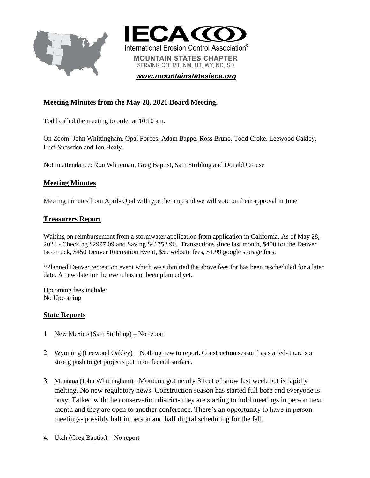



*[www.mountainstatesieca.org](http://www.mountainstatesieca.org/)*

# **Meeting Minutes from the May 28, 2021 Board Meeting.**

Todd called the meeting to order at 10:10 am.

On Zoom: John Whittingham, Opal Forbes, Adam Bappe, Ross Bruno, Todd Croke, Leewood Oakley, Luci Snowden and Jon Healy.

Not in attendance: Ron Whiteman, Greg Baptist, Sam Stribling and Donald Crouse

### **Meeting Minutes**

Meeting minutes from April- Opal will type them up and we will vote on their approval in June

# **Treasurers Report**

Waiting on reimbursement from a stormwater application from application in California. As of May 28, 2021 - Checking \$2997.09 and Saving \$41752.96. Transactions since last month, \$400 for the Denver taco truck, \$450 Denver Recreation Event, \$50 website fees, \$1.99 google storage fees.

\*Planned Denver recreation event which we submitted the above fees for has been rescheduled for a later date. A new date for the event has not been planned yet.

Upcoming fees include: No Upcoming

### **State Reports**

- 1. New Mexico (Sam Stribling) No report
- 2. Wyoming (Leewood Oakley) Nothing new to report. Construction season has started- there's a strong push to get projects put in on federal surface.
- 3. Montana (John Whittingham)– Montana got nearly 3 feet of snow last week but is rapidly melting. No new regulatory news. Construction season has started full bore and everyone is busy. Talked with the conservation district- they are starting to hold meetings in person next month and they are open to another conference. There's an opportunity to have in person meetings- possibly half in person and half digital scheduling for the fall.
- 4. Utah (Greg Baptist) No report